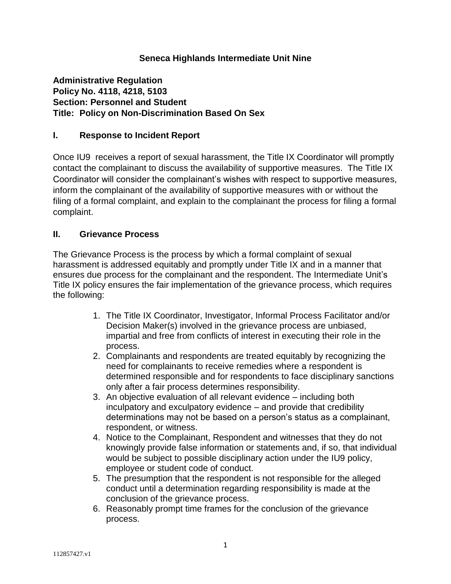## **Seneca Highlands Intermediate Unit Nine**

**Administrative Regulation Policy No. 4118, 4218, 5103 Section: Personnel and Student Title: Policy on Non-Discrimination Based On Sex**

### **I. Response to Incident Report**

Once IU9 receives a report of sexual harassment, the Title IX Coordinator will promptly contact the complainant to discuss the availability of supportive measures. The Title IX Coordinator will consider the complainant's wishes with respect to supportive measures, inform the complainant of the availability of supportive measures with or without the filing of a formal complaint, and explain to the complainant the process for filing a formal complaint.

### **II. Grievance Process**

The Grievance Process is the process by which a formal complaint of sexual harassment is addressed equitably and promptly under Title IX and in a manner that ensures due process for the complainant and the respondent. The Intermediate Unit's Title IX policy ensures the fair implementation of the grievance process, which requires the following:

- 1. The Title IX Coordinator, Investigator, Informal Process Facilitator and/or Decision Maker(s) involved in the grievance process are unbiased, impartial and free from conflicts of interest in executing their role in the process.
- 2. Complainants and respondents are treated equitably by recognizing the need for complainants to receive remedies where a respondent is determined responsible and for respondents to face disciplinary sanctions only after a fair process determines responsibility.
- 3. An objective evaluation of all relevant evidence including both inculpatory and exculpatory evidence – and provide that credibility determinations may not be based on a person's status as a complainant, respondent, or witness.
- 4. Notice to the Complainant, Respondent and witnesses that they do not knowingly provide false information or statements and, if so, that individual would be subject to possible disciplinary action under the IU9 policy, employee or student code of conduct.
- 5. The presumption that the respondent is not responsible for the alleged conduct until a determination regarding responsibility is made at the conclusion of the grievance process.
- 6. Reasonably prompt time frames for the conclusion of the grievance process.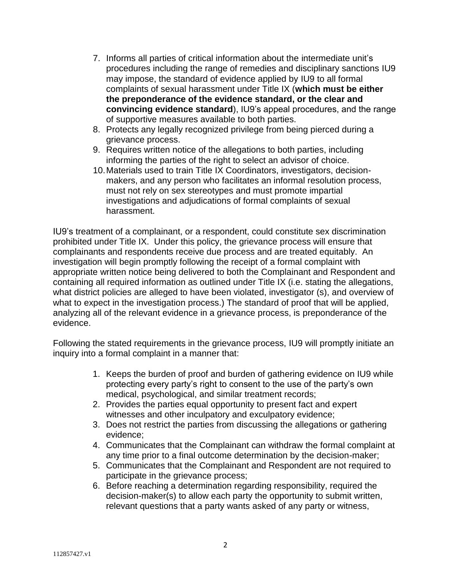- 7. Informs all parties of critical information about the intermediate unit's procedures including the range of remedies and disciplinary sanctions IU9 may impose, the standard of evidence applied by IU9 to all formal complaints of sexual harassment under Title IX (**which must be either the preponderance of the evidence standard, or the clear and convincing evidence standard**), IU9's appeal procedures, and the range of supportive measures available to both parties.
- 8. Protects any legally recognized privilege from being pierced during a grievance process.
- 9. Requires written notice of the allegations to both parties, including informing the parties of the right to select an advisor of choice.
- 10.Materials used to train Title IX Coordinators, investigators, decisionmakers, and any person who facilitates an informal resolution process, must not rely on sex stereotypes and must promote impartial investigations and adjudications of formal complaints of sexual harassment.

IU9's treatment of a complainant, or a respondent, could constitute sex discrimination prohibited under Title IX. Under this policy, the grievance process will ensure that complainants and respondents receive due process and are treated equitably. An investigation will begin promptly following the receipt of a formal complaint with appropriate written notice being delivered to both the Complainant and Respondent and containing all required information as outlined under Title IX (i.e. stating the allegations, what district policies are alleged to have been violated, investigator (s), and overview of what to expect in the investigation process.) The standard of proof that will be applied, analyzing all of the relevant evidence in a grievance process, is preponderance of the evidence.

Following the stated requirements in the grievance process, IU9 will promptly initiate an inquiry into a formal complaint in a manner that:

- 1. Keeps the burden of proof and burden of gathering evidence on IU9 while protecting every party's right to consent to the use of the party's own medical, psychological, and similar treatment records;
- 2. Provides the parties equal opportunity to present fact and expert witnesses and other inculpatory and exculpatory evidence;
- 3. Does not restrict the parties from discussing the allegations or gathering evidence;
- 4. Communicates that the Complainant can withdraw the formal complaint at any time prior to a final outcome determination by the decision-maker;
- 5. Communicates that the Complainant and Respondent are not required to participate in the grievance process;
- 6. Before reaching a determination regarding responsibility, required the decision-maker(s) to allow each party the opportunity to submit written, relevant questions that a party wants asked of any party or witness,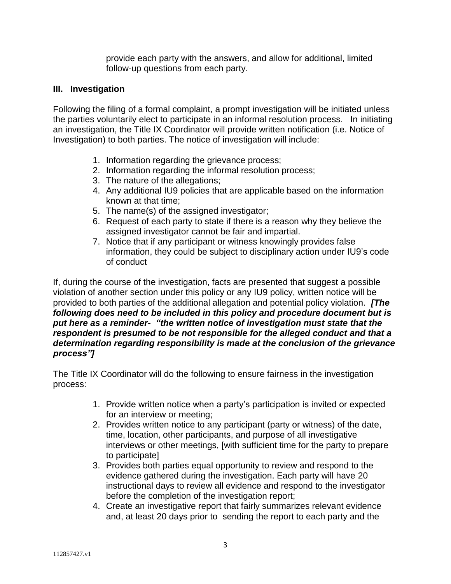provide each party with the answers, and allow for additional, limited follow-up questions from each party.

## **III. Investigation**

Following the filing of a formal complaint, a prompt investigation will be initiated unless the parties voluntarily elect to participate in an informal resolution process. In initiating an investigation, the Title IX Coordinator will provide written notification (i.e. Notice of Investigation) to both parties. The notice of investigation will include:

- 1. Information regarding the grievance process;
- 2. Information regarding the informal resolution process;
- 3. The nature of the allegations;
- 4. Any additional IU9 policies that are applicable based on the information known at that time;
- 5. The name(s) of the assigned investigator;
- 6. Request of each party to state if there is a reason why they believe the assigned investigator cannot be fair and impartial.
- 7. Notice that if any participant or witness knowingly provides false information, they could be subject to disciplinary action under IU9's code of conduct

If, during the course of the investigation, facts are presented that suggest a possible violation of another section under this policy or any IU9 policy, written notice will be provided to both parties of the additional allegation and potential policy violation. *[The following does need to be included in this policy and procedure document but is put here as a reminder- "the written notice of investigation must state that the respondent is presumed to be not responsible for the alleged conduct and that a determination regarding responsibility is made at the conclusion of the grievance process"]*

The Title IX Coordinator will do the following to ensure fairness in the investigation process:

- 1. Provide written notice when a party's participation is invited or expected for an interview or meeting;
- 2. Provides written notice to any participant (party or witness) of the date, time, location, other participants, and purpose of all investigative interviews or other meetings, [with sufficient time for the party to prepare to participate]
- 3. Provides both parties equal opportunity to review and respond to the evidence gathered during the investigation. Each party will have 20 instructional days to review all evidence and respond to the investigator before the completion of the investigation report;
- 4. Create an investigative report that fairly summarizes relevant evidence and, at least 20 days prior to sending the report to each party and the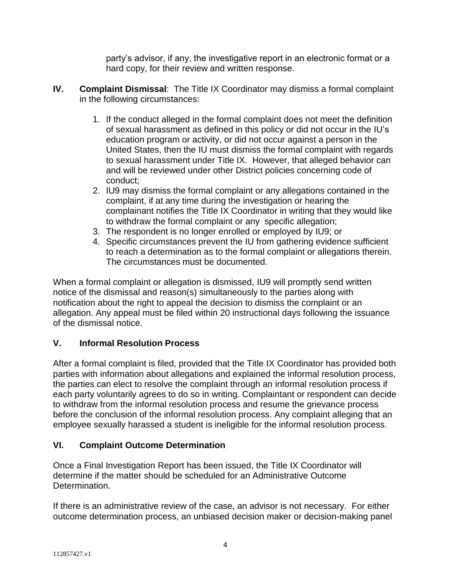party's advisor, if any, the investigative report in an electronic format or a hard copy, for their review and written response.

- **IV. Complaint Dismissal**: The Title IX Coordinator may dismiss a formal complaint in the following circumstances:
	- 1. If the conduct alleged in the formal complaint does not meet the definition of sexual harassment as defined in this policy or did not occur in the IU's education program or activity, or did not occur against a person in the United States, then the IU must dismiss the formal complaint with regards to sexual harassment under Title IX. However, that alleged behavior can and will be reviewed under other District policies concerning code of conduct;
	- 2. IU9 may dismiss the formal complaint or any allegations contained in the complaint, if at any time during the investigation or hearing the complainant notifies the Title IX Coordinator in writing that they would like to withdraw the formal complaint or any specific allegation;
	- 3. The respondent is no longer enrolled or employed by IU9; or
	- 4. Specific circumstances prevent the IU from gathering evidence sufficient to reach a determination as to the formal complaint or allegations therein. The circumstances must be documented.

When a formal complaint or allegation is dismissed, IU9 will promptly send written notice of the dismissal and reason(s) simultaneously to the parties along with notification about the right to appeal the decision to dismiss the complaint or an allegation. Any appeal must be filed within 20 instructional days following the issuance of the dismissal notice.

# **V. Informal Resolution Process**

After a formal complaint is filed, provided that the Title IX Coordinator has provided both parties with information about allegations and explained the informal resolution process, the parties can elect to resolve the complaint through an informal resolution process if each party voluntarily agrees to do so in writing. Complaintant or respondent can decide to withdraw from the informal resolution process and resume the grievance process before the conclusion of the informal resolution process. Any complaint alleging that an employee sexually harassed a student is ineligible for the informal resolution process.

# **VI. Complaint Outcome Determination**

Once a Final Investigation Report has been issued, the Title IX Coordinator will determine if the matter should be scheduled for an Administrative Outcome Determination.

If there is an administrative review of the case, an advisor is not necessary. For either outcome determination process, an unbiased decision maker or decision-making panel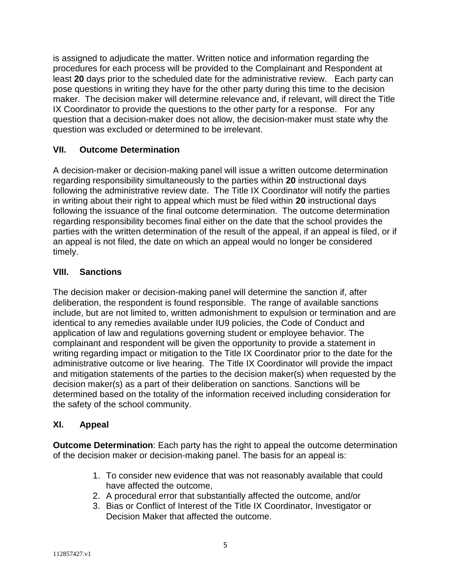is assigned to adjudicate the matter. Written notice and information regarding the procedures for each process will be provided to the Complainant and Respondent at least **20** days prior to the scheduled date for the administrative review. Each party can pose questions in writing they have for the other party during this time to the decision maker. The decision maker will determine relevance and, if relevant, will direct the Title IX Coordinator to provide the questions to the other party for a response. For any question that a decision-maker does not allow, the decision-maker must state why the question was excluded or determined to be irrelevant.

## **VII. Outcome Determination**

A decision-maker or decision-making panel will issue a written outcome determination regarding responsibility simultaneously to the parties within **20** instructional days following the administrative review date. The Title IX Coordinator will notify the parties in writing about their right to appeal which must be filed within **20** instructional days following the issuance of the final outcome determination. The outcome determination regarding responsibility becomes final either on the date that the school provides the parties with the written determination of the result of the appeal, if an appeal is filed, or if an appeal is not filed, the date on which an appeal would no longer be considered timely.

## **VIII. Sanctions**

The decision maker or decision-making panel will determine the sanction if, after deliberation, the respondent is found responsible. The range of available sanctions include, but are not limited to, written admonishment to expulsion or termination and are identical to any remedies available under IU9 policies, the Code of Conduct and application of law and regulations governing student or employee behavior. The complainant and respondent will be given the opportunity to provide a statement in writing regarding impact or mitigation to the Title IX Coordinator prior to the date for the administrative outcome or live hearing. The Title IX Coordinator will provide the impact and mitigation statements of the parties to the decision maker(s) when requested by the decision maker(s) as a part of their deliberation on sanctions. Sanctions will be determined based on the totality of the information received including consideration for the safety of the school community.

### **XI. Appeal**

**Outcome Determination**: Each party has the right to appeal the outcome determination of the decision maker or decision-making panel. The basis for an appeal is:

- 1. To consider new evidence that was not reasonably available that could have affected the outcome,
- 2. A procedural error that substantially affected the outcome, and/or
- 3. Bias or Conflict of Interest of the Title IX Coordinator, Investigator or Decision Maker that affected the outcome.